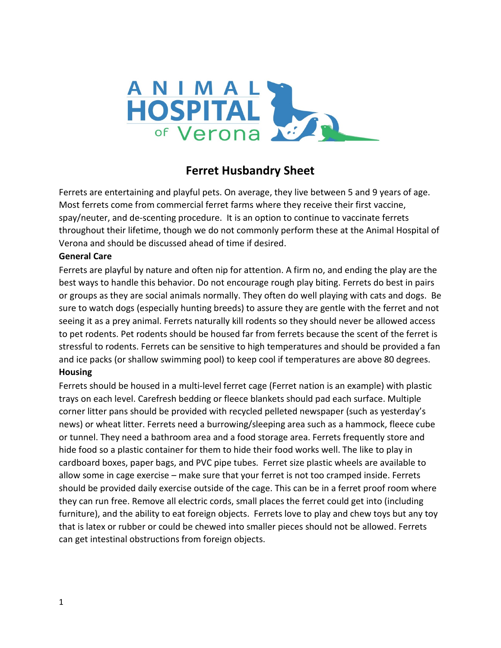

# **Ferret Husbandry Sheet**

Ferrets are entertaining and playful pets. On average, they live between 5 and 9 years of age. Most ferrets come from commercial ferret farms where they receive their first vaccine, spay/neuter, and de-scenting procedure. It is an option to continue to vaccinate ferrets throughout their lifetime, though we do not commonly perform these at the Animal Hospital of Verona and should be discussed ahead of time if desired.

#### **General Care**

Ferrets are playful by nature and often nip for attention. A firm no, and ending the play are the best ways to handle this behavior. Do not encourage rough play biting. Ferrets do best in pairs or groups as they are social animals normally. They often do well playing with cats and dogs. Be sure to watch dogs (especially hunting breeds) to assure they are gentle with the ferret and not seeing it as a prey animal. Ferrets naturally kill rodents so they should never be allowed access to pet rodents. Pet rodents should be housed far from ferrets because the scent of the ferret is stressful to rodents. Ferrets can be sensitive to high temperatures and should be provided a fan and ice packs (or shallow swimming pool) to keep cool if temperatures are above 80 degrees. **Housing**

Ferrets should be housed in a multi-level ferret cage (Ferret nation is an example) with plastic trays on each level. Carefresh bedding or fleece blankets should pad each surface. Multiple corner litter pans should be provided with recycled pelleted newspaper (such as yesterday's news) or wheat litter. Ferrets need a burrowing/sleeping area such as a hammock, fleece cube or tunnel. They need a bathroom area and a food storage area. Ferrets frequently store and hide food so a plastic container for them to hide their food works well. The like to play in cardboard boxes, paper bags, and PVC pipe tubes. Ferret size plastic wheels are available to allow some in cage exercise – make sure that your ferret is not too cramped inside. Ferrets should be provided daily exercise outside of the cage. This can be in a ferret proof room where they can run free. Remove all electric cords, small places the ferret could get into (including furniture), and the ability to eat foreign objects. Ferrets love to play and chew toys but any toy that is latex or rubber or could be chewed into smaller pieces should not be allowed. Ferrets can get intestinal obstructions from foreign objects.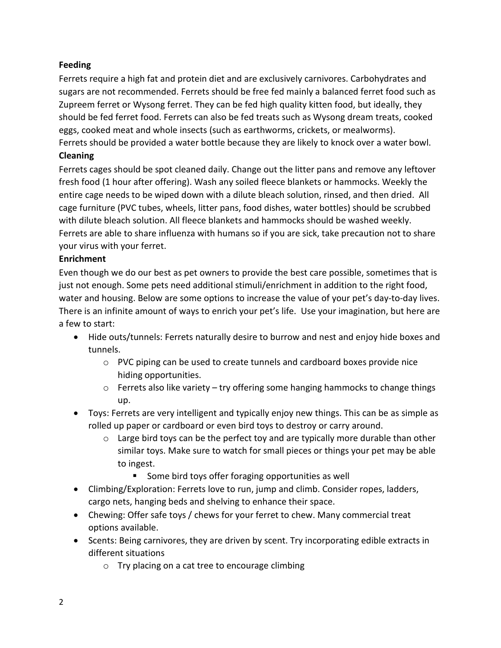## **Feeding**

Ferrets require a high fat and protein diet and are exclusively carnivores. Carbohydrates and sugars are not recommended. Ferrets should be free fed mainly a balanced ferret food such as Zupreem ferret or Wysong ferret. They can be fed high quality kitten food, but ideally, they should be fed ferret food. Ferrets can also be fed treats such as Wysong dream treats, cooked eggs, cooked meat and whole insects (such as earthworms, crickets, or mealworms). Ferrets should be provided a water bottle because they are likely to knock over a water bowl.

## **Cleaning**

Ferrets cages should be spot cleaned daily. Change out the litter pans and remove any leftover fresh food (1 hour after offering). Wash any soiled fleece blankets or hammocks. Weekly the entire cage needs to be wiped down with a dilute bleach solution, rinsed, and then dried. All cage furniture (PVC tubes, wheels, litter pans, food dishes, water bottles) should be scrubbed with dilute bleach solution. All fleece blankets and hammocks should be washed weekly. Ferrets are able to share influenza with humans so if you are sick, take precaution not to share your virus with your ferret.

#### **Enrichment**

Even though we do our best as pet owners to provide the best care possible, sometimes that is just not enough. Some pets need additional stimuli/enrichment in addition to the right food, water and housing. Below are some options to increase the value of your pet's day-to-day lives. There is an infinite amount of ways to enrich your pet's life. Use your imagination, but here are a few to start:

- Hide outs/tunnels: Ferrets naturally desire to burrow and nest and enjoy hide boxes and tunnels.
	- $\circ$  PVC piping can be used to create tunnels and cardboard boxes provide nice hiding opportunities.
	- o Ferrets also like variety try offering some hanging hammocks to change things up.
- Toys: Ferrets are very intelligent and typically enjoy new things. This can be as simple as rolled up paper or cardboard or even bird toys to destroy or carry around.
	- $\circ$  Large bird toys can be the perfect toy and are typically more durable than other similar toys. Make sure to watch for small pieces or things your pet may be able to ingest.
		- Some bird toys offer foraging opportunities as well
- Climbing/Exploration: Ferrets love to run, jump and climb. Consider ropes, ladders, cargo nets, hanging beds and shelving to enhance their space.
- Chewing: Offer safe toys / chews for your ferret to chew. Many commercial treat options available.
- Scents: Being carnivores, they are driven by scent. Try incorporating edible extracts in different situations
	- o Try placing on a cat tree to encourage climbing